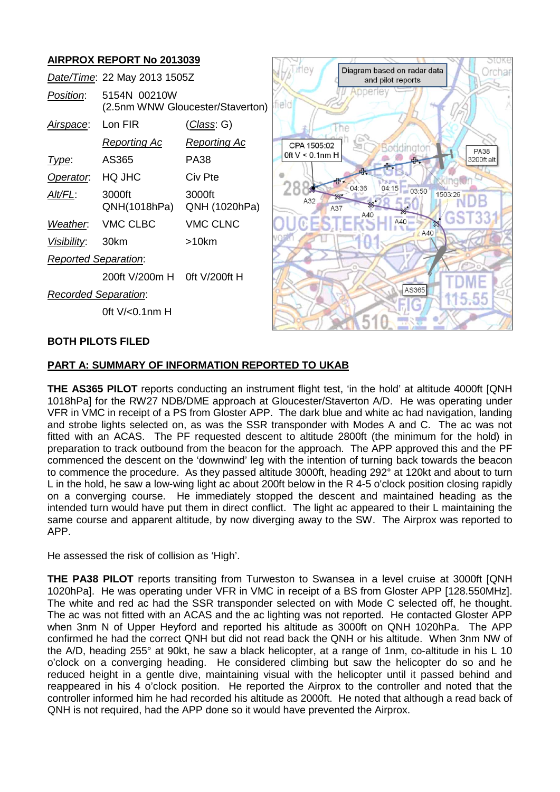# **AIRPROX REPORT No 2013039**

| Date/Time: 22 May 2013 1505Z |                          |                                  | <i>i</i> rlev      | Diagram based on radar data<br>and pilot reports | Orchar                    |
|------------------------------|--------------------------|----------------------------------|--------------------|--------------------------------------------------|---------------------------|
| Position:                    | 5154N 00210W             | (2.5nm WNW Gloucester/Staverton) | teldi              | репет                                            |                           |
| Airspace:                    | Lon FIR                  | <u>(Class</u> : G)               |                    |                                                  |                           |
|                              | <u>Reporting Ac</u>      | <b>Reporting Ac</b>              | CPA 1505:02        | Boddingtor                                       |                           |
| Type:                        | AS365                    | <b>PA38</b>                      | Oft $V < 0.1$ nm H |                                                  | <b>PA38</b><br>3200ft alt |
| Operator.                    | HQ JHC                   | Civ Pte                          |                    |                                                  |                           |
| Alt/FL:                      | 3000ft<br>QNH(1018hPa)   | 3000ft<br>QNH (1020hPa)          | A32<br>A37         | 04:15 03:50<br>04:36<br>$\frac{22}{25}$          | 1503:26                   |
| Weather.                     | VMC CLBC                 | <b>VMC CLNC</b>                  |                    | A40<br>A40<br>$\mathbb{R}$                       | 55                        |
| Visibility:                  | 30km                     | $>10$ km                         |                    | A40                                              |                           |
| <b>Reported Separation:</b>  |                          |                                  |                    |                                                  |                           |
|                              | 200ft V/200m H           | Oft V/200ft H                    |                    |                                                  |                           |
| <b>Recorded Separation:</b>  |                          |                                  |                    | AS365                                            |                           |
|                              | Oft $V/0.1$ nm H         |                                  |                    |                                                  |                           |
|                              | <b>BOTH PILOTS FILED</b> |                                  |                    |                                                  |                           |

SAVI

 $10<sup>2</sup>$ 

**ER** U

*AA* N 210Kb

# **PART A: SUMMARY OF INFORMATION REPORTED TO UKAB**

**THE AS365 PILOT** reports conducting an instrument flight test, 'in the hold' at altitude 4000ft [QNH 1018hPa] for the RW27 NDB/DME approach at Gloucester/Staverton A/D. He was operating under VFR in VMC in receipt of a PS from Gloster APP. The dark blue and white ac had navigation, landing and strobe lights selected on, as was the SSR transponder with Modes A and C. The ac was not fitted with an ACAS. The PF requested descent to altitude 2800ft (the minimum for the hold) in preparation to track outbound from the beacon for the approach. The APP approved this and the PF commenced the descent on the 'downwind' leg with the intention of turning back towards the beacon to commence the procedure. As they passed altitude 3000ft, heading 292° at 120kt and about to turn L in the hold, he saw a low-wing light ac about 200ft below in the R 4-5 o'clock position closing rapidly on a converging course. He immediately stopped the descent and maintained heading as the intended turn would have put them in direct conflict. The light ac appeared to their L maintaining the same course and apparent altitude, by now diverging away to the SW. The Airprox was reported to APP.

He assessed the risk of collision as 'High'.

**THE PA38 PILOT** reports transiting from Turweston to Swansea in a level cruise at 3000ft [QNH 1020hPa]. He was operating under VFR in VMC in receipt of a BS from Gloster APP [128.550MHz]. The white and red ac had the SSR transponder selected on with Mode C selected off, he thought. The ac was not fitted with an ACAS and the ac lighting was not reported. He contacted Gloster APP when 3nm N of Upper Heyford and reported his altitude as 3000ft on QNH 1020hPa. The APP confirmed he had the correct QNH but did not read back the QNH or his altitude. When 3nm NW of the A/D, heading 255° at 90kt, he saw a black helicopter, at a range of 1nm, co-altitude in his L 10 o'clock on a converging heading. He considered climbing but saw the helicopter do so and he reduced height in a gentle dive, maintaining visual with the helicopter until it passed behind and reappeared in his 4 o'clock position. He reported the Airprox to the controller and noted that the controller informed him he had recorded his altitude as 2000ft. He noted that although a read back of QNH is not required, had the APP done so it would have prevented the Airprox.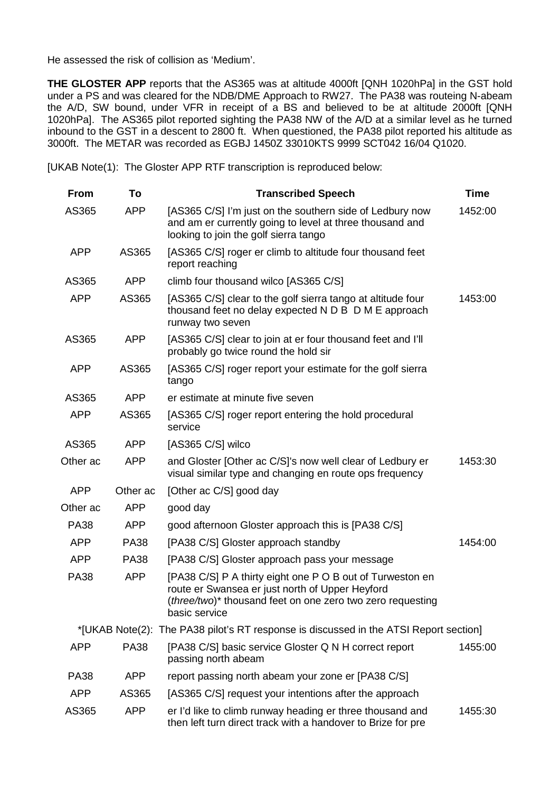He assessed the risk of collision as 'Medium'.

**THE GLOSTER APP** reports that the AS365 was at altitude 4000ft [QNH 1020hPa] in the GST hold under a PS and was cleared for the NDB/DME Approach to RW27. The PA38 was routeing N-abeam the A/D, SW bound, under VFR in receipt of a BS and believed to be at altitude 2000ft [QNH 1020hPa]. The AS365 pilot reported sighting the PA38 NW of the A/D at a similar level as he turned inbound to the GST in a descent to 2800 ft. When questioned, the PA38 pilot reported his altitude as 3000ft. The METAR was recorded as EGBJ 1450Z 33010KTS 9999 SCT042 16/04 Q1020.

[UKAB Note(1): The Gloster APP RTF transcription is reproduced below:

| <b>From</b> | To          | <b>Transcribed Speech</b>                                                                                                                                                                   | <b>Time</b> |
|-------------|-------------|---------------------------------------------------------------------------------------------------------------------------------------------------------------------------------------------|-------------|
| AS365       | <b>APP</b>  | [AS365 C/S] I'm just on the southern side of Ledbury now<br>and am er currently going to level at three thousand and<br>looking to join the golf sierra tango                               | 1452:00     |
| <b>APP</b>  | AS365       | [AS365 C/S] roger er climb to altitude four thousand feet<br>report reaching                                                                                                                |             |
| AS365       | <b>APP</b>  | climb four thousand wilco [AS365 C/S]                                                                                                                                                       |             |
| <b>APP</b>  | AS365       | [AS365 C/S] clear to the golf sierra tango at altitude four<br>thousand feet no delay expected N D B D M E approach<br>runway two seven                                                     | 1453:00     |
| AS365       | <b>APP</b>  | [AS365 C/S] clear to join at er four thousand feet and I'll<br>probably go twice round the hold sir                                                                                         |             |
| <b>APP</b>  | AS365       | [AS365 C/S] roger report your estimate for the golf sierra<br>tango                                                                                                                         |             |
| AS365       | <b>APP</b>  | er estimate at minute five seven                                                                                                                                                            |             |
| <b>APP</b>  | AS365       | [AS365 C/S] roger report entering the hold procedural<br>service                                                                                                                            |             |
| AS365       | <b>APP</b>  | [AS365 C/S] wilco                                                                                                                                                                           |             |
| Other ac    | <b>APP</b>  | and Gloster [Other ac C/S]'s now well clear of Ledbury er<br>visual similar type and changing en route ops frequency                                                                        | 1453:30     |
| <b>APP</b>  | Other ac    | [Other ac C/S] good day                                                                                                                                                                     |             |
| Other ac    | <b>APP</b>  | good day                                                                                                                                                                                    |             |
| <b>PA38</b> | <b>APP</b>  | good afternoon Gloster approach this is [PA38 C/S]                                                                                                                                          |             |
| <b>APP</b>  | <b>PA38</b> | [PA38 C/S] Gloster approach standby                                                                                                                                                         | 1454:00     |
| <b>APP</b>  | <b>PA38</b> | [PA38 C/S] Gloster approach pass your message                                                                                                                                               |             |
| <b>PA38</b> | <b>APP</b>  | [PA38 C/S] P A thirty eight one P O B out of Turweston en<br>route er Swansea er just north of Upper Heyford<br>(three/two)* thousand feet on one zero two zero requesting<br>basic service |             |
|             |             | *[UKAB Note(2): The PA38 pilot's RT response is discussed in the ATSI Report section]                                                                                                       |             |
| <b>APP</b>  | <b>PA38</b> | [PA38 C/S] basic service Gloster Q N H correct report<br>passing north abeam                                                                                                                | 1455:00     |
| <b>PA38</b> | <b>APP</b>  | report passing north abeam your zone er [PA38 C/S]                                                                                                                                          |             |
| <b>APP</b>  | AS365       | [AS365 C/S] request your intentions after the approach                                                                                                                                      |             |
| AS365       | <b>APP</b>  | er I'd like to climb runway heading er three thousand and<br>then left turn direct track with a handover to Brize for pre                                                                   | 1455:30     |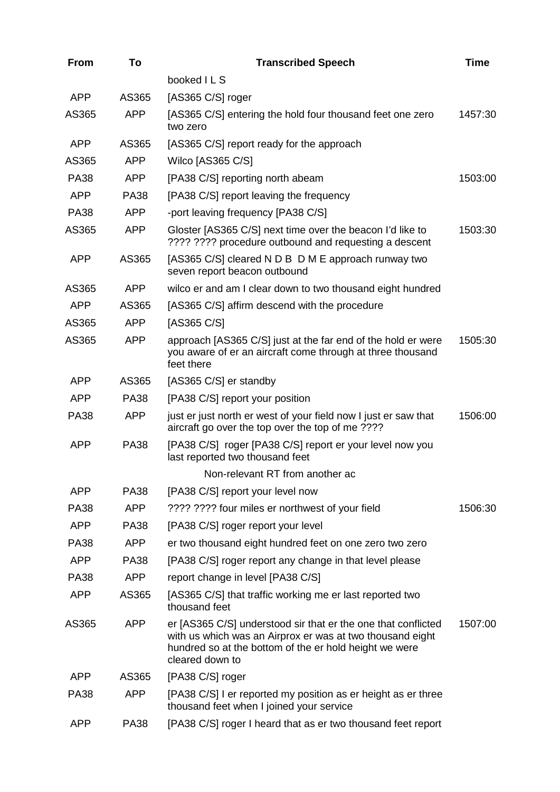| <b>From</b> | To          | <b>Transcribed Speech</b>                                                                                                                                                                               | <b>Time</b> |
|-------------|-------------|---------------------------------------------------------------------------------------------------------------------------------------------------------------------------------------------------------|-------------|
|             |             | booked ILS                                                                                                                                                                                              |             |
| <b>APP</b>  | AS365       | [AS365 C/S] roger                                                                                                                                                                                       |             |
| AS365       | <b>APP</b>  | [AS365 C/S] entering the hold four thousand feet one zero<br>two zero                                                                                                                                   | 1457:30     |
| <b>APP</b>  | AS365       | [AS365 C/S] report ready for the approach                                                                                                                                                               |             |
| AS365       | <b>APP</b>  | Wilco [AS365 C/S]                                                                                                                                                                                       |             |
| <b>PA38</b> | <b>APP</b>  | [PA38 C/S] reporting north abeam                                                                                                                                                                        | 1503:00     |
| <b>APP</b>  | <b>PA38</b> | [PA38 C/S] report leaving the frequency                                                                                                                                                                 |             |
| <b>PA38</b> | <b>APP</b>  | -port leaving frequency [PA38 C/S]                                                                                                                                                                      |             |
| AS365       | <b>APP</b>  | Gloster [AS365 C/S] next time over the beacon I'd like to<br>???? ???? procedure outbound and requesting a descent                                                                                      | 1503:30     |
| <b>APP</b>  | AS365       | [AS365 C/S] cleared N D B D M E approach runway two<br>seven report beacon outbound                                                                                                                     |             |
| AS365       | <b>APP</b>  | wilco er and am I clear down to two thousand eight hundred                                                                                                                                              |             |
| <b>APP</b>  | AS365       | [AS365 C/S] affirm descend with the procedure                                                                                                                                                           |             |
| AS365       | <b>APP</b>  | [AS365 C/S]                                                                                                                                                                                             |             |
| AS365       | <b>APP</b>  | approach [AS365 C/S] just at the far end of the hold er were<br>you aware of er an aircraft come through at three thousand<br>feet there                                                                | 1505:30     |
| <b>APP</b>  | AS365       | [AS365 C/S] er standby                                                                                                                                                                                  |             |
| <b>APP</b>  | <b>PA38</b> | [PA38 C/S] report your position                                                                                                                                                                         |             |
| <b>PA38</b> | <b>APP</b>  | just er just north er west of your field now I just er saw that<br>aircraft go over the top over the top of me ????                                                                                     | 1506:00     |
| <b>APP</b>  | <b>PA38</b> | [PA38 C/S] roger [PA38 C/S] report er your level now you<br>last reported two thousand feet                                                                                                             |             |
|             |             | Non-relevant RT from another ac                                                                                                                                                                         |             |
| <b>APP</b>  | <b>PA38</b> | [PA38 C/S] report your level now                                                                                                                                                                        |             |
| <b>PA38</b> | <b>APP</b>  | ???? ???? four miles er northwest of your field                                                                                                                                                         | 1506:30     |
| <b>APP</b>  | <b>PA38</b> | [PA38 C/S] roger report your level                                                                                                                                                                      |             |
| <b>PA38</b> | <b>APP</b>  | er two thousand eight hundred feet on one zero two zero                                                                                                                                                 |             |
| <b>APP</b>  | <b>PA38</b> | [PA38 C/S] roger report any change in that level please                                                                                                                                                 |             |
| <b>PA38</b> | <b>APP</b>  | report change in level [PA38 C/S]                                                                                                                                                                       |             |
| <b>APP</b>  | AS365       | [AS365 C/S] that traffic working me er last reported two<br>thousand feet                                                                                                                               |             |
| AS365       | <b>APP</b>  | er [AS365 C/S] understood sir that er the one that conflicted<br>with us which was an Airprox er was at two thousand eight<br>hundred so at the bottom of the er hold height we were<br>cleared down to | 1507:00     |
| <b>APP</b>  | AS365       | [PA38 C/S] roger                                                                                                                                                                                        |             |
| <b>PA38</b> | <b>APP</b>  | [PA38 C/S] I er reported my position as er height as er three<br>thousand feet when I joined your service                                                                                               |             |
| <b>APP</b>  | <b>PA38</b> | [PA38 C/S] roger I heard that as er two thousand feet report                                                                                                                                            |             |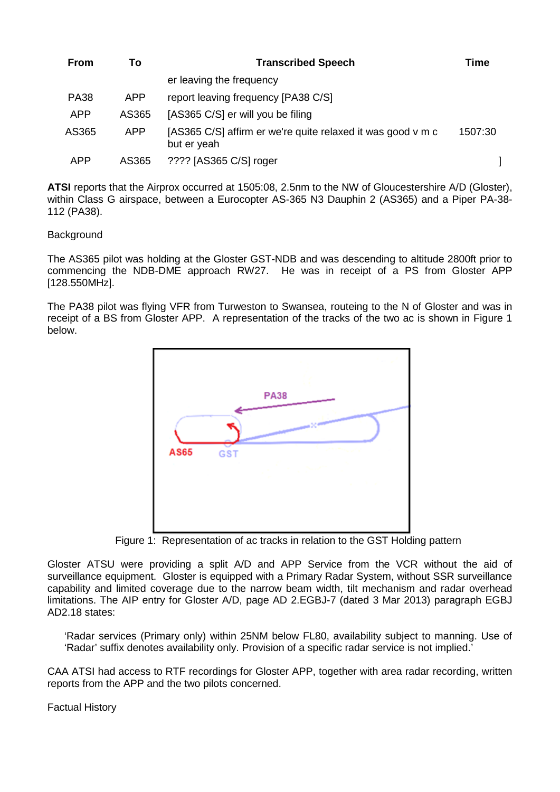| <b>From</b> | Τo         | <b>Transcribed Speech</b>                                                  | Time    |
|-------------|------------|----------------------------------------------------------------------------|---------|
|             |            | er leaving the frequency                                                   |         |
| <b>PA38</b> | <b>APP</b> | report leaving frequency [PA38 C/S]                                        |         |
| <b>APP</b>  | AS365      | [AS365 C/S] er will you be filing                                          |         |
| AS365       | APP        | [AS365 C/S] affirm er we're quite relaxed it was good v m c<br>but er yeah | 1507:30 |
| <b>APP</b>  | AS365      | ???? [AS365 C/S] roger                                                     |         |

**ATSI** reports that the Airprox occurred at 1505:08, 2.5nm to the NW of Gloucestershire A/D (Gloster), within Class G airspace, between a Eurocopter AS-365 N3 Dauphin 2 (AS365) and a Piper PA-38- 112 (PA38).

# **Background**

The AS365 pilot was holding at the Gloster GST-NDB and was descending to altitude 2800ft prior to commencing the NDB-DME approach RW27. He was in receipt of a PS from Gloster APP [128.550MHz].

The PA38 pilot was flying VFR from Turweston to Swansea, routeing to the N of Gloster and was in receipt of a BS from Gloster APP. A representation of the tracks of the two ac is shown in Figure 1 below.



Figure 1: Representation of ac tracks in relation to the GST Holding pattern

Gloster ATSU were providing a split A/D and APP Service from the VCR without the aid of surveillance equipment. Gloster is equipped with a Primary Radar System, without SSR surveillance capability and limited coverage due to the narrow beam width, tilt mechanism and radar overhead limitations. The AIP entry for Gloster A/D, page AD 2.EGBJ-7 (dated 3 Mar 2013) paragraph EGBJ AD2.18 states:

'Radar services (Primary only) within 25NM below FL80, availability subject to manning. Use of 'Radar' suffix denotes availability only. Provision of a specific radar service is not implied.'

CAA ATSI had access to RTF recordings for Gloster APP, together with area radar recording, written reports from the APP and the two pilots concerned.

Factual History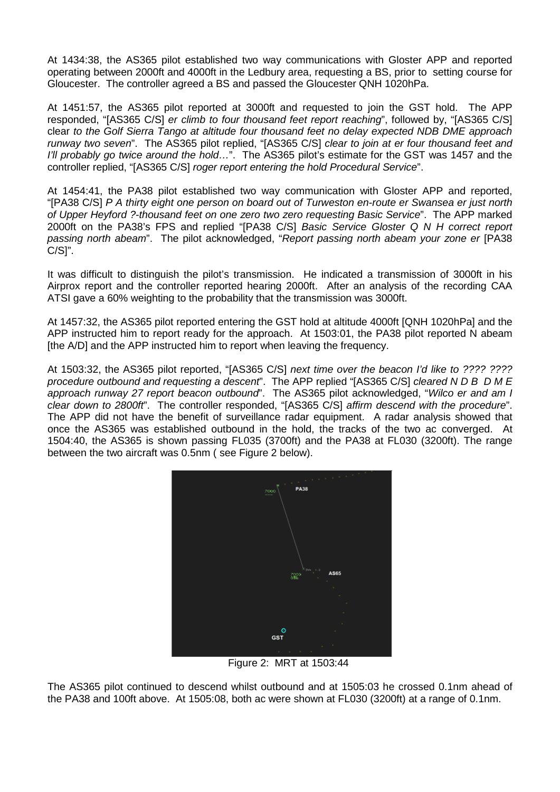At 1434:38, the AS365 pilot established two way communications with Gloster APP and reported operating between 2000ft and 4000ft in the Ledbury area, requesting a BS, prior to setting course for Gloucester. The controller agreed a BS and passed the Gloucester QNH 1020hPa.

At 1451:57, the AS365 pilot reported at 3000ft and requested to join the GST hold. The APP responded, "[AS365 C/S] *er climb to four thousand feet report reaching*", followed by, "[AS365 C/S] clear *to the Golf Sierra Tango at altitude four thousand feet no delay expected NDB DME approach runway two seven*". The AS365 pilot replied, "[AS365 C/S] *clear to join at er four thousand feet and I'll probably go twice around the hold…*". The AS365 pilot's estimate for the GST was 1457 and the controller replied, "[AS365 C/S] *roger report entering the hold Procedural Service*".

At 1454:41, the PA38 pilot established two way communication with Gloster APP and reported, "[PA38 C/S] *P A thirty eight one person on board out of Turweston en-route er Swansea er just north of Upper Heyford ?-thousand feet on one zero two zero requesting Basic Service*". The APP marked 2000ft on the PA38's FPS and replied "[PA38 C/S] *Basic Service Gloster Q N H correct report passing north abeam*". The pilot acknowledged, "*Report passing north abeam your zone er* [PA38 C/S]".

It was difficult to distinguish the pilot's transmission. He indicated a transmission of 3000ft in his Airprox report and the controller reported hearing 2000ft. After an analysis of the recording CAA ATSI gave a 60% weighting to the probability that the transmission was 3000ft.

At 1457:32, the AS365 pilot reported entering the GST hold at altitude 4000ft [QNH 1020hPa] and the APP instructed him to report ready for the approach. At 1503:01, the PA38 pilot reported N abeam [the A/D] and the APP instructed him to report when leaving the frequency.

At 1503:32, the AS365 pilot reported, "[AS365 C/S] *next time over the beacon I'd like to ???? ???? procedure outbound and requesting a descent*". The APP replied "[AS365 C/S] *cleared N D B D M E approach runway 27 report beacon outbound*". The AS365 pilot acknowledged, "*Wilco er and am I clear down to 2800ft*". The controller responded, "[AS365 C/S] *affirm descend with the procedure*". The APP did not have the benefit of surveillance radar equipment. A radar analysis showed that once the AS365 was established outbound in the hold, the tracks of the two ac converged. At 1504:40, the AS365 is shown passing FL035 (3700ft) and the PA38 at FL030 (3200ft). The range between the two aircraft was 0.5nm ( see Figure 2 below).



Figure 2: MRT at 1503:44

The AS365 pilot continued to descend whilst outbound and at 1505:03 he crossed 0.1nm ahead of the PA38 and 100ft above. At 1505:08, both ac were shown at FL030 (3200ft) at a range of 0.1nm.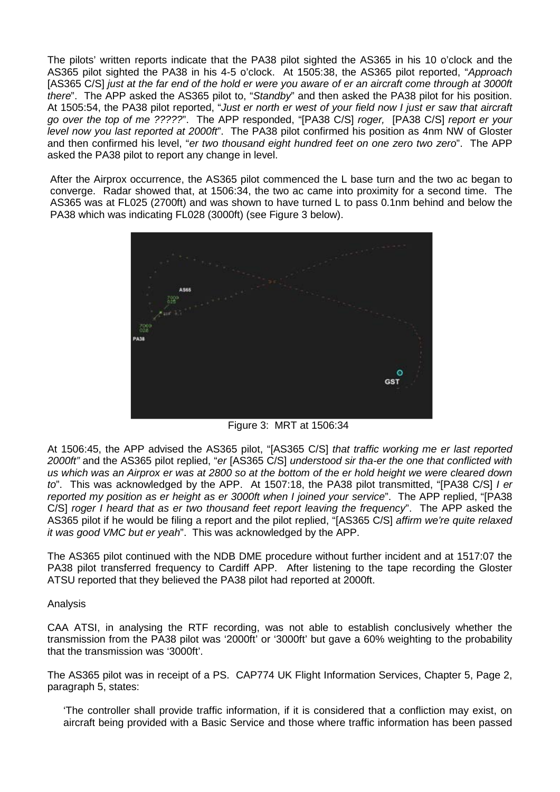The pilots' written reports indicate that the PA38 pilot sighted the AS365 in his 10 o'clock and the AS365 pilot sighted the PA38 in his 4-5 o'clock. At 1505:38, the AS365 pilot reported, "*Approach*  [AS365 C/S] *just at the far end of the hold er were you aware of er an aircraft come through at 3000ft there*". The APP asked the AS365 pilot to, "*Standby*" and then asked the PA38 pilot for his position. At 1505:54, the PA38 pilot reported, "*Just er north er west of your field now I just er saw that aircraft go over the top of me ?????*". The APP responded, "[PA38 C/S] *roger,* [PA38 C/S] *report er your level now you last reported at 2000ft*". The PA38 pilot confirmed his position as 4nm NW of Gloster and then confirmed his level, "*er two thousand eight hundred feet on one zero two zero*". The APP asked the PA38 pilot to report any change in level.

After the Airprox occurrence, the AS365 pilot commenced the L base turn and the two ac began to converge. Radar showed that, at 1506:34, the two ac came into proximity for a second time. The AS365 was at FL025 (2700ft) and was shown to have turned L to pass 0.1nm behind and below the PA38 which was indicating FL028 (3000ft) (see Figure 3 below).



Figure 3: MRT at 1506:34

At 1506:45, the APP advised the AS365 pilot, "[AS365 C/S] *that traffic working me er last reported 2000ft"* and the AS365 pilot replied, "*er* [AS365 C/S] *understood sir tha-er the one that conflicted with us which was an Airprox er was at 2800 so at the bottom of the er hold height we were cleared down to*". This was acknowledged by the APP. At 1507:18, the PA38 pilot transmitted, "[PA38 C/S] *I er reported my position as er height as er 3000ft when I joined your service*". The APP replied, "[PA38 C/S] *roger I heard that as er two thousand feet report leaving the frequency*". The APP asked the AS365 pilot if he would be filing a report and the pilot replied, "[AS365 C/S] *affirm we're quite relaxed it was good VMC but er yeah*". This was acknowledged by the APP.

The AS365 pilot continued with the NDB DME procedure without further incident and at 1517:07 the PA38 pilot transferred frequency to Cardiff APP. After listening to the tape recording the Gloster ATSU reported that they believed the PA38 pilot had reported at 2000ft.

Analysis

CAA ATSI, in analysing the RTF recording, was not able to establish conclusively whether the transmission from the PA38 pilot was '2000ft' or '3000ft' but gave a 60% weighting to the probability that the transmission was '3000ft'.

The AS365 pilot was in receipt of a PS. CAP774 UK Flight Information Services, Chapter 5, Page 2, paragraph 5, states:

'The controller shall provide traffic information, if it is considered that a confliction may exist, on aircraft being provided with a Basic Service and those where traffic information has been passed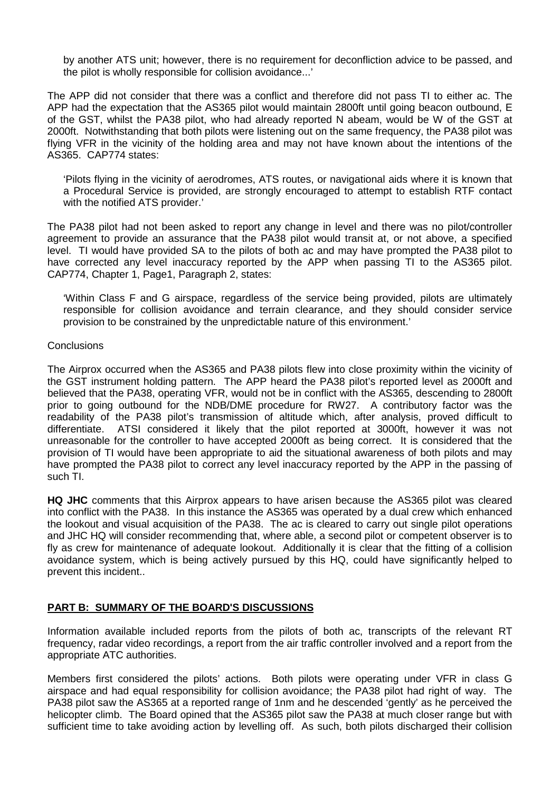by another ATS unit; however, there is no requirement for deconfliction advice to be passed, and the pilot is wholly responsible for collision avoidance...'

The APP did not consider that there was a conflict and therefore did not pass TI to either ac. The APP had the expectation that the AS365 pilot would maintain 2800ft until going beacon outbound, E of the GST, whilst the PA38 pilot, who had already reported N abeam, would be W of the GST at 2000ft. Notwithstanding that both pilots were listening out on the same frequency, the PA38 pilot was flying VFR in the vicinity of the holding area and may not have known about the intentions of the AS365. CAP774 states:

'Pilots flying in the vicinity of aerodromes, ATS routes, or navigational aids where it is known that a Procedural Service is provided, are strongly encouraged to attempt to establish RTF contact with the notified ATS provider.'

The PA38 pilot had not been asked to report any change in level and there was no pilot/controller agreement to provide an assurance that the PA38 pilot would transit at, or not above, a specified level. TI would have provided SA to the pilots of both ac and may have prompted the PA38 pilot to have corrected any level inaccuracy reported by the APP when passing TI to the AS365 pilot. CAP774, Chapter 1, Page1, Paragraph 2, states:

'Within Class F and G airspace, regardless of the service being provided, pilots are ultimately responsible for collision avoidance and terrain clearance, and they should consider service provision to be constrained by the unpredictable nature of this environment.'

#### **Conclusions**

The Airprox occurred when the AS365 and PA38 pilots flew into close proximity within the vicinity of the GST instrument holding pattern. The APP heard the PA38 pilot's reported level as 2000ft and believed that the PA38, operating VFR, would not be in conflict with the AS365, descending to 2800ft prior to going outbound for the NDB/DME procedure for RW27. A contributory factor was the readability of the PA38 pilot's transmission of altitude which, after analysis, proved difficult to differentiate. ATSI considered it likely that the pilot reported at 3000ft, however it was not unreasonable for the controller to have accepted 2000ft as being correct. It is considered that the provision of TI would have been appropriate to aid the situational awareness of both pilots and may have prompted the PA38 pilot to correct any level inaccuracy reported by the APP in the passing of such TI.

**HQ JHC** comments that this Airprox appears to have arisen because the AS365 pilot was cleared into conflict with the PA38. In this instance the AS365 was operated by a dual crew which enhanced the lookout and visual acquisition of the PA38. The ac is cleared to carry out single pilot operations and JHC HQ will consider recommending that, where able, a second pilot or competent observer is to fly as crew for maintenance of adequate lookout. Additionally it is clear that the fitting of a collision avoidance system, which is being actively pursued by this HQ, could have significantly helped to prevent this incident..

# **PART B: SUMMARY OF THE BOARD'S DISCUSSIONS**

Information available included reports from the pilots of both ac, transcripts of the relevant RT frequency, radar video recordings, a report from the air traffic controller involved and a report from the appropriate ATC authorities.

Members first considered the pilots' actions. Both pilots were operating under VFR in class G airspace and had equal responsibility for collision avoidance; the PA38 pilot had right of way. The PA38 pilot saw the AS365 at a reported range of 1nm and he descended 'gently' as he perceived the helicopter climb. The Board opined that the AS365 pilot saw the PA38 at much closer range but with sufficient time to take avoiding action by levelling off. As such, both pilots discharged their collision